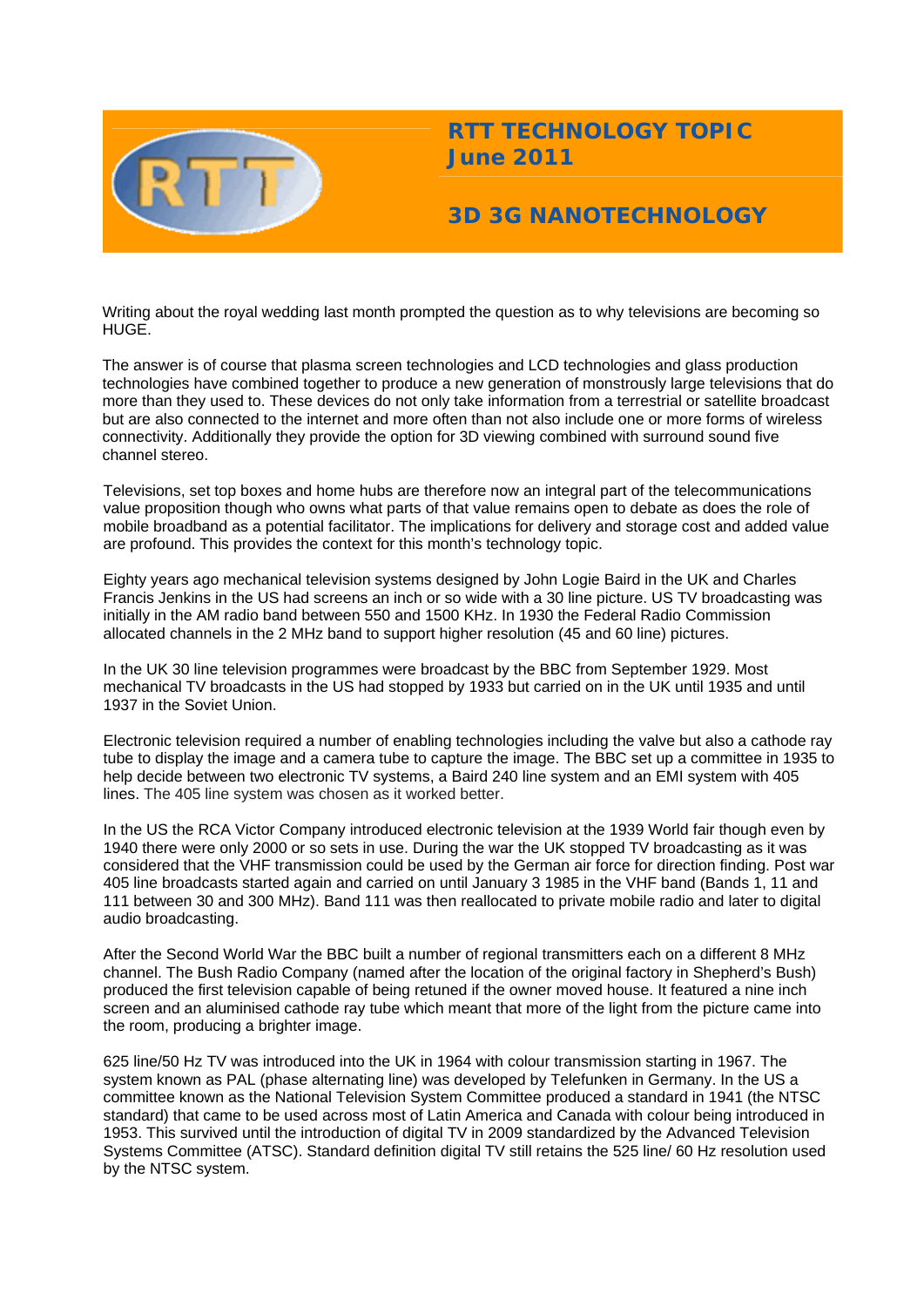

# **RTT TECHNOLOGY TOPIC June 2011**

## **3D 3G NANOTECHNOLOGY**

Writing about the royal wedding last month prompted the question as to why televisions are becoming so HUGE.

The answer is of course that plasma screen technologies and LCD technologies and glass production technologies have combined together to produce a new generation of monstrously large televisions that do more than they used to. These devices do not only take information from a terrestrial or satellite broadcast but are also connected to the internet and more often than not also include one or more forms of wireless connectivity. Additionally they provide the option for 3D viewing combined with surround sound five channel stereo.

Televisions, set top boxes and home hubs are therefore now an integral part of the telecommunications value proposition though who owns what parts of that value remains open to debate as does the role of mobile broadband as a potential facilitator. The implications for delivery and storage cost and added value are profound. This provides the context for this month's technology topic.

Eighty years ago mechanical television systems designed by John Logie Baird in the UK and Charles Francis Jenkins in the US had screens an inch or so wide with a 30 line picture. US TV broadcasting was initially in the AM radio band between 550 and 1500 KHz. In 1930 the Federal Radio Commission allocated channels in the 2 MHz band to support higher resolution (45 and 60 line) pictures.

In the UK 30 line television programmes were broadcast by the BBC from September 1929. Most mechanical TV broadcasts in the US had stopped by 1933 but carried on in the UK until 1935 and until 1937 in the Soviet Union.

Electronic television required a number of enabling technologies including the valve but also a cathode ray tube to display the image and a camera tube to capture the image. The BBC set up a committee in 1935 to help decide between two electronic TV systems, a Baird 240 line system and an EMI system with 405 lines. The 405 line system was chosen as it worked better.

In the US the RCA Victor Company introduced electronic television at the 1939 World fair though even by 1940 there were only 2000 or so sets in use. During the war the UK stopped TV broadcasting as it was considered that the VHF transmission could be used by the German air force for direction finding. Post war 405 line broadcasts started again and carried on until January 3 1985 in the VHF band (Bands 1, 11 and 111 between 30 and 300 MHz). Band 111 was then reallocated to private mobile radio and later to digital audio broadcasting.

After the Second World War the BBC built a number of regional transmitters each on a different 8 MHz channel. The Bush Radio Company (named after the location of the original factory in Shepherd's Bush) produced the first television capable of being retuned if the owner moved house. It featured a nine inch screen and an aluminised cathode ray tube which meant that more of the light from the picture came into the room, producing a brighter image.

625 line/50 Hz TV was introduced into the UK in 1964 with colour transmission starting in 1967. The system known as PAL (phase alternating line) was developed by Telefunken in Germany. In the US a committee known as the National Television System Committee produced a standard in 1941 (the NTSC standard) that came to be used across most of Latin America and Canada with colour being introduced in 1953. This survived until the introduction of digital TV in 2009 standardized by the Advanced Television Systems Committee (ATSC). Standard definition digital TV still retains the 525 line/ 60 Hz resolution used by the NTSC system.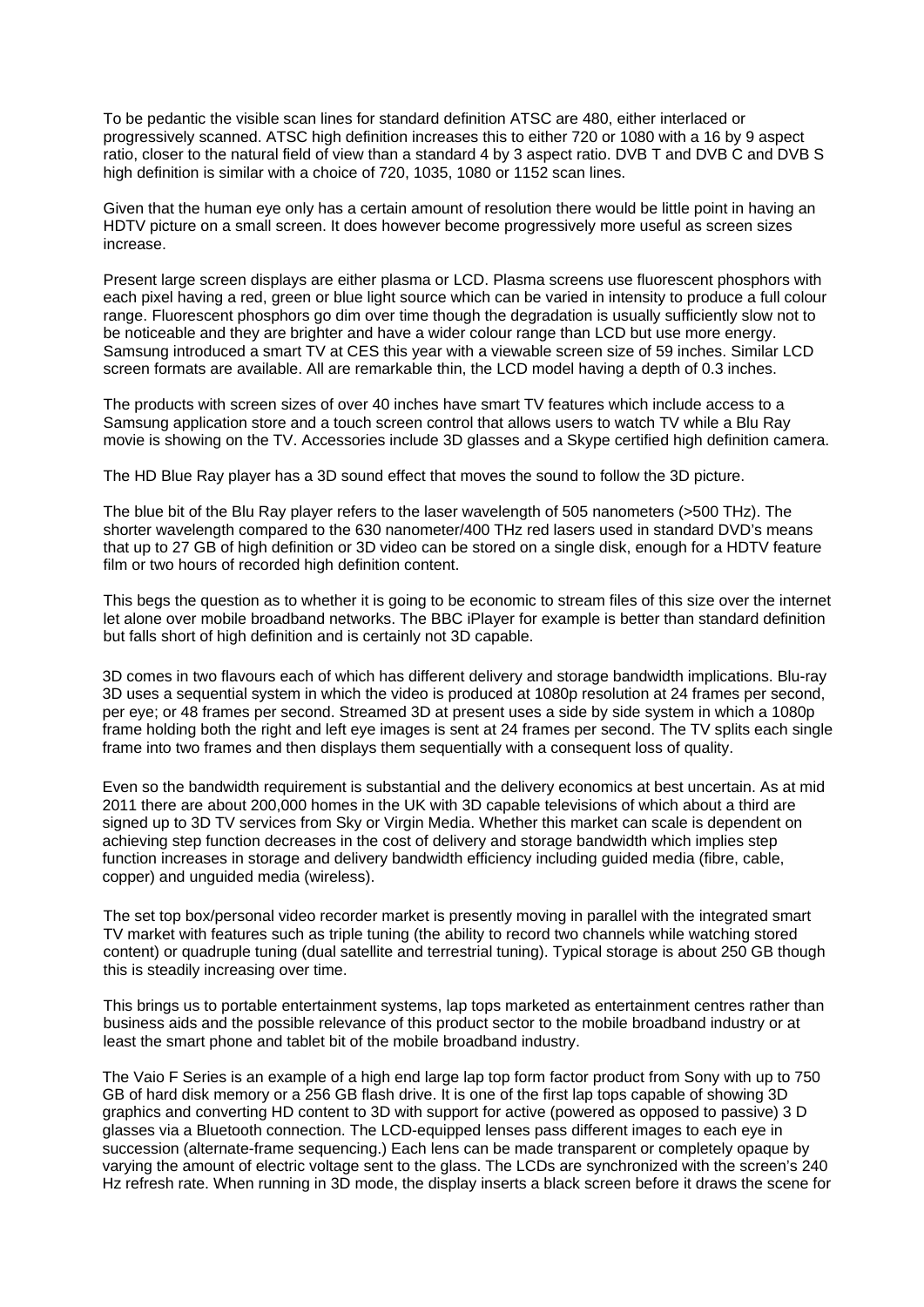To be pedantic the visible scan lines for standard definition ATSC are 480, either interlaced or progressively scanned. ATSC high definition increases this to either 720 or 1080 with a 16 by 9 aspect ratio, closer to the natural field of view than a standard 4 by 3 aspect ratio. DVB T and DVB C and DVB S high definition is similar with a choice of 720, 1035, 1080 or 1152 scan lines.

Given that the human eye only has a certain amount of resolution there would be little point in having an HDTV picture on a small screen. It does however become progressively more useful as screen sizes increase.

Present large screen displays are either plasma or LCD. Plasma screens use fluorescent phosphors with each pixel having a red, green or blue light source which can be varied in intensity to produce a full colour range. Fluorescent phosphors go dim over time though the degradation is usually sufficiently slow not to be noticeable and they are brighter and have a wider colour range than LCD but use more energy. Samsung introduced a smart TV at CES this year with a viewable screen size of 59 inches. Similar LCD screen formats are available. All are remarkable thin, the LCD model having a depth of 0.3 inches.

The products with screen sizes of over 40 inches have smart TV features which include access to a Samsung application store and a touch screen control that allows users to watch TV while a Blu Ray movie is showing on the TV. Accessories include 3D glasses and a Skype certified high definition camera.

The HD Blue Ray player has a 3D sound effect that moves the sound to follow the 3D picture.

The blue bit of the Blu Ray player refers to the laser wavelength of 505 nanometers (>500 THz). The shorter wavelength compared to the 630 nanometer/400 THz red lasers used in standard DVD's means that up to 27 GB of high definition or 3D video can be stored on a single disk, enough for a HDTV feature film or two hours of recorded high definition content.

This begs the question as to whether it is going to be economic to stream files of this size over the internet let alone over mobile broadband networks. The BBC iPlayer for example is better than standard definition but falls short of high definition and is certainly not 3D capable.

3D comes in two flavours each of which has different delivery and storage bandwidth implications. Blu-ray 3D uses a sequential system in which the video is produced at 1080p resolution at 24 frames per second, per eye; or 48 frames per second. Streamed 3D at present uses a side by side system in which a 1080p frame holding both the right and left eye images is sent at 24 frames per second. The TV splits each single frame into two frames and then displays them sequentially with a consequent loss of quality.

Even so the bandwidth requirement is substantial and the delivery economics at best uncertain. As at mid 2011 there are about 200,000 homes in the UK with 3D capable televisions of which about a third are signed up to 3D TV services from Sky or Virgin Media. Whether this market can scale is dependent on achieving step function decreases in the cost of delivery and storage bandwidth which implies step function increases in storage and delivery bandwidth efficiency including guided media (fibre, cable, copper) and unguided media (wireless).

The set top box/personal video recorder market is presently moving in parallel with the integrated smart TV market with features such as triple tuning (the ability to record two channels while watching stored content) or quadruple tuning (dual satellite and terrestrial tuning). Typical storage is about 250 GB though this is steadily increasing over time.

This brings us to portable entertainment systems, lap tops marketed as entertainment centres rather than business aids and the possible relevance of this product sector to the mobile broadband industry or at least the smart phone and tablet bit of the mobile broadband industry.

The Vaio F Series is an example of a high end large lap top form factor product from Sony with up to 750 GB of hard disk memory or a 256 GB flash drive. It is one of the first lap tops capable of showing 3D graphics and converting HD content to 3D with support for active (powered as opposed to passive) 3 D glasses via a Bluetooth connection. The LCD-equipped lenses pass different images to each eye in succession (alternate-frame sequencing.) Each lens can be made transparent or completely opaque by varying the amount of electric voltage sent to the glass. The LCDs are synchronized with the screen's 240 Hz refresh rate. When running in 3D mode, the display inserts a black screen before it draws the scene for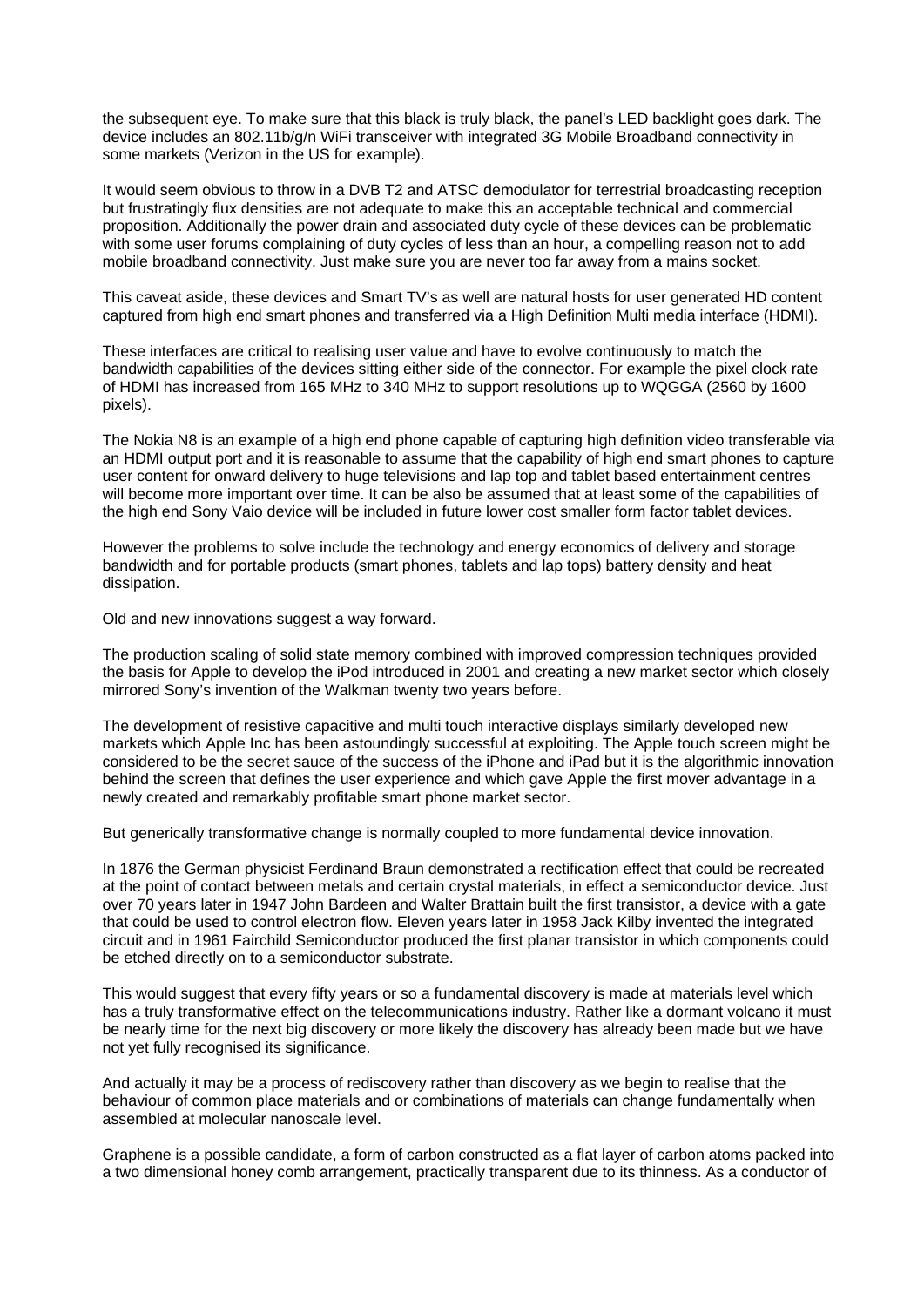the subsequent eye. To make sure that this black is truly black, the panel's LED backlight goes dark. The device includes an 802.11b/g/n WiFi transceiver with integrated 3G Mobile Broadband connectivity in some markets (Verizon in the US for example).

It would seem obvious to throw in a DVB T2 and ATSC demodulator for terrestrial broadcasting reception but frustratingly flux densities are not adequate to make this an acceptable technical and commercial proposition. Additionally the power drain and associated duty cycle of these devices can be problematic with some user forums complaining of duty cycles of less than an hour, a compelling reason not to add mobile broadband connectivity. Just make sure you are never too far away from a mains socket.

This caveat aside, these devices and Smart TV's as well are natural hosts for user generated HD content captured from high end smart phones and transferred via a High Definition Multi media interface (HDMI).

These interfaces are critical to realising user value and have to evolve continuously to match the bandwidth capabilities of the devices sitting either side of the connector. For example the pixel clock rate of HDMI has increased from 165 MHz to 340 MHz to support resolutions up to WQGGA (2560 by 1600 pixels).

The Nokia N8 is an example of a high end phone capable of capturing high definition video transferable via an HDMI output port and it is reasonable to assume that the capability of high end smart phones to capture user content for onward delivery to huge televisions and lap top and tablet based entertainment centres will become more important over time. It can be also be assumed that at least some of the capabilities of the high end Sony Vaio device will be included in future lower cost smaller form factor tablet devices.

However the problems to solve include the technology and energy economics of delivery and storage bandwidth and for portable products (smart phones, tablets and lap tops) battery density and heat dissipation.

Old and new innovations suggest a way forward.

The production scaling of solid state memory combined with improved compression techniques provided the basis for Apple to develop the iPod introduced in 2001 and creating a new market sector which closely mirrored Sony's invention of the Walkman twenty two years before.

The development of resistive capacitive and multi touch interactive displays similarly developed new markets which Apple Inc has been astoundingly successful at exploiting. The Apple touch screen might be considered to be the secret sauce of the success of the iPhone and iPad but it is the algorithmic innovation behind the screen that defines the user experience and which gave Apple the first mover advantage in a newly created and remarkably profitable smart phone market sector.

But generically transformative change is normally coupled to more fundamental device innovation.

In 1876 the German physicist Ferdinand Braun demonstrated a rectification effect that could be recreated at the point of contact between metals and certain crystal materials, in effect a semiconductor device. Just over 70 years later in 1947 John Bardeen and Walter Brattain built the first transistor, a device with a gate that could be used to control electron flow. Eleven years later in 1958 Jack Kilby invented the integrated circuit and in 1961 Fairchild Semiconductor produced the first planar transistor in which components could be etched directly on to a semiconductor substrate.

This would suggest that every fifty years or so a fundamental discovery is made at materials level which has a truly transformative effect on the telecommunications industry. Rather like a dormant volcano it must be nearly time for the next big discovery or more likely the discovery has already been made but we have not yet fully recognised its significance.

And actually it may be a process of rediscovery rather than discovery as we begin to realise that the behaviour of common place materials and or combinations of materials can change fundamentally when assembled at molecular nanoscale level.

Graphene is a possible candidate, a form of carbon constructed as a flat layer of carbon atoms packed into a two dimensional honey comb arrangement, practically transparent due to its thinness. As a conductor of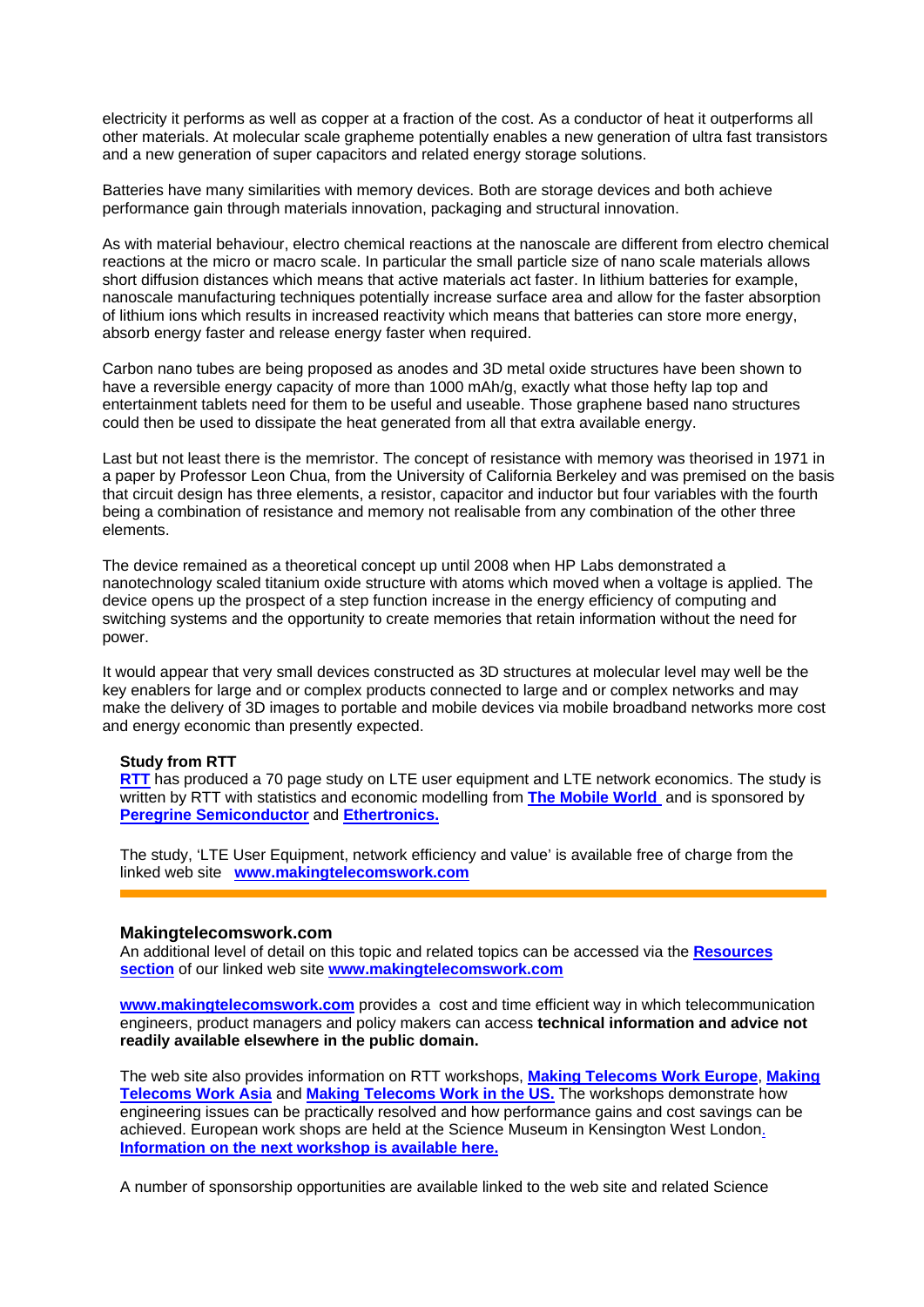electricity it performs as well as copper at a fraction of the cost. As a conductor of heat it outperforms all other materials. At molecular scale grapheme potentially enables a new generation of ultra fast transistors and a new generation of super capacitors and related energy storage solutions.

Batteries have many similarities with memory devices. Both are storage devices and both achieve performance gain through materials innovation, packaging and structural innovation.

As with material behaviour, electro chemical reactions at the nanoscale are different from electro chemical reactions at the micro or macro scale. In particular the small particle size of nano scale materials allows short diffusion distances which means that active materials act faster. In lithium batteries for example, nanoscale manufacturing techniques potentially increase surface area and allow for the faster absorption of lithium ions which results in increased reactivity which means that batteries can store more energy, absorb energy faster and release energy faster when required.

Carbon nano tubes are being proposed as anodes and 3D metal oxide structures have been shown to have a reversible energy capacity of more than 1000 mAh/g, exactly what those hefty lap top and entertainment tablets need for them to be useful and useable. Those graphene based nano structures could then be used to dissipate the heat generated from all that extra available energy.

Last but not least there is the memristor. The concept of resistance with memory was theorised in 1971 in a paper by Professor Leon Chua, from the University of California Berkeley and was premised on the basis that circuit design has three elements, a resistor, capacitor and inductor but four variables with the fourth being a combination of resistance and memory not realisable from any combination of the other three elements.

The device remained as a theoretical concept up until 2008 when HP Labs demonstrated a nanotechnology scaled titanium oxide structure with atoms which moved when a voltage is applied. The device opens up the prospect of a step function increase in the energy efficiency of computing and switching systems and the opportunity to create memories that retain information without the need for power.

It would appear that very small devices constructed as 3D structures at molecular level may well be the key enablers for large and or complex products connected to large and or complex networks and may make the delivery of 3D images to portable and mobile devices via mobile broadband networks more cost and energy economic than presently expected.

#### **Study from RTT**

**[RTT](http://www.rttonline.com/)** has produced a 70 page study on LTE user equipment and LTE network economics. The study is written by RTT with statistics and economic modelling from **[The Mobile World](http://www.themobileworld.com/)** and is sponsored by **[Peregrine Semiconductor](http://www.peregrine-semi.com/)** and **[Ethertronics.](http://www.ethertronics.com/)**

The study, 'LTE User Equipment, network efficiency and value' is available free of charge from the linked web site **[www.makingtelecomswork.com](http://www.makingtelecomswork.com/)**

#### **Makingtelecomswork.com**

An additional level of detail on this topic and related topics can be accessed via the **[Resources](http://www.makingtelecomswork.com/resources.html)  [section](http://www.makingtelecomswork.com/resources.html)** of our linked web site **[www.makingtelecomswork.com](http://www.makingtelecomswork.com/)**

**[www.makingtelecomswork.com](http://www.makingtelecomswork.com/)** provides a cost and time efficient way in which telecommunication engineers, product managers and policy makers can access **technical information and advice not readily available elsewhere in the public domain.** 

The web site also provides information on RTT workshops, **[Making Telecoms Work Europe](http://www.makingtelecomswork.com/workshop_europe.html)**, **[Making](http://www.makingtelecomswork.com/workshop_asia.html)  [Telecoms Work Asia](http://www.makingtelecomswork.com/workshop_asia.html)** and **[Making Telecoms Work in the US.](http://www.makingtelecomswork.com/workshop_usa.html)** The workshops demonstrate how engineering issues can be practically resolved and how performance gains and cost savings can be achieved. European work shops are held at the Science Museum in Kensington West London[.](http://www.makingtelecomswork.com/workshop_europe.html)  **[Information on the next workshop is available here.](http://www.makingtelecomswork.com/workshop_europe.html)**

A number of sponsorship opportunities are available linked to the web site and related Science